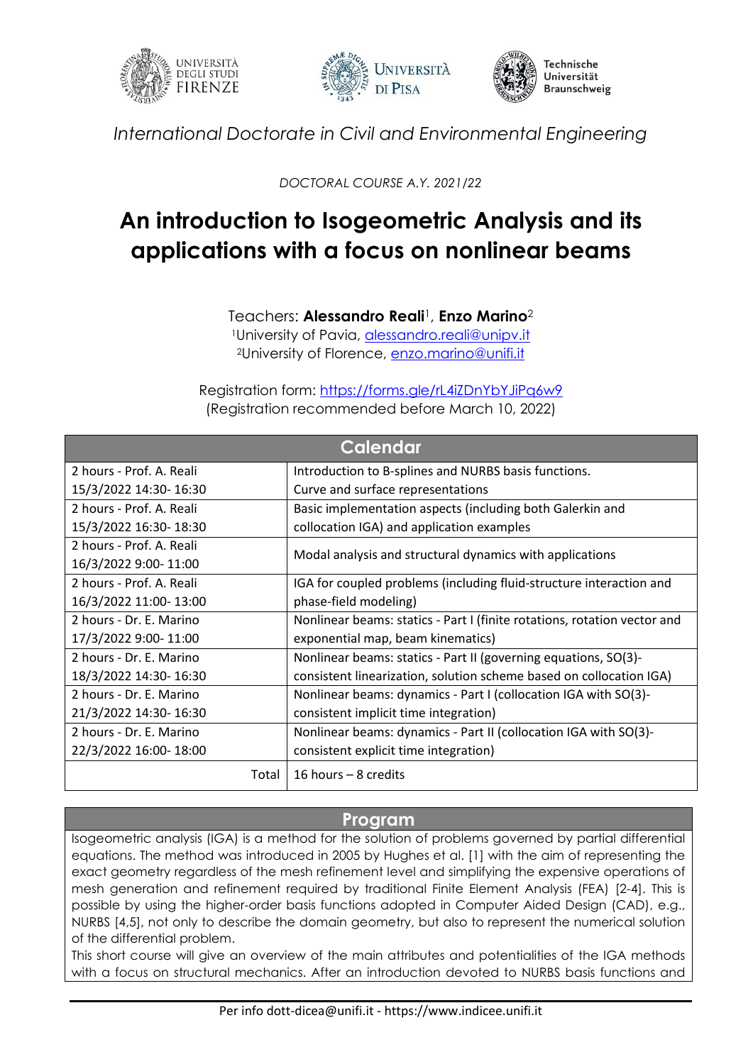





*International Doctorate in Civil and Environmental Engineering*

*DOCTORAL COURSE A.Y. 2021/22*

## **An introduction to Isogeometric Analysis and its applications with a focus on nonlinear beams**

Teachers: **Alessandro Reali**1, **Enzo Marino**<sup>2</sup>

1University of Pavia, [alessandro.reali@unipv.it](mailto:alessandro.reali@unipv.it) <sup>2</sup>University of Florence, [enzo.marino@unifi.it](mailto:enzo.marino@unifi.it)

Registration form:<https://forms.gle/rL4iZDnYbYJiPq6w9> (Registration recommended before March 10, 2022)

| <b>Calendar</b>          |                                                                          |
|--------------------------|--------------------------------------------------------------------------|
| 2 hours - Prof. A. Reali | Introduction to B-splines and NURBS basis functions.                     |
| 15/3/2022 14:30- 16:30   | Curve and surface representations                                        |
| 2 hours - Prof. A. Reali | Basic implementation aspects (including both Galerkin and                |
| 15/3/2022 16:30-18:30    | collocation IGA) and application examples                                |
| 2 hours - Prof. A. Reali | Modal analysis and structural dynamics with applications                 |
| 16/3/2022 9:00-11:00     |                                                                          |
| 2 hours - Prof. A. Reali | IGA for coupled problems (including fluid-structure interaction and      |
| 16/3/2022 11:00-13:00    | phase-field modeling)                                                    |
| 2 hours - Dr. E. Marino  | Nonlinear beams: statics - Part I (finite rotations, rotation vector and |
| 17/3/2022 9:00-11:00     | exponential map, beam kinematics)                                        |
| 2 hours - Dr. E. Marino  | Nonlinear beams: statics - Part II (governing equations, SO(3)-          |
| 18/3/2022 14:30-16:30    | consistent linearization, solution scheme based on collocation IGA)      |
| 2 hours - Dr. E. Marino  | Nonlinear beams: dynamics - Part I (collocation IGA with SO(3)-          |
| 21/3/2022 14:30-16:30    | consistent implicit time integration)                                    |
| 2 hours - Dr. E. Marino  | Nonlinear beams: dynamics - Part II (collocation IGA with SO(3)-         |
| 22/3/2022 16:00-18:00    | consistent explicit time integration)                                    |
| Total                    | 16 hours $-8$ credits                                                    |

## **Program**

Isogeometric analysis (IGA) is a method for the solution of problems governed by partial differential equations. The method was introduced in 2005 by Hughes et al. [1] with the aim of representing the exact geometry regardless of the mesh refinement level and simplifying the expensive operations of mesh generation and refinement required by traditional Finite Element Analysis (FEA) [2-4]. This is possible by using the higher-order basis functions adopted in Computer Aided Design (CAD), e.g., NURBS [4,5], not only to describe the domain geometry, but also to represent the numerical solution of the differential problem.

This short course will give an overview of the main attributes and potentialities of the IGA methods with a focus on structural mechanics. After an introduction devoted to NURBS basis functions and